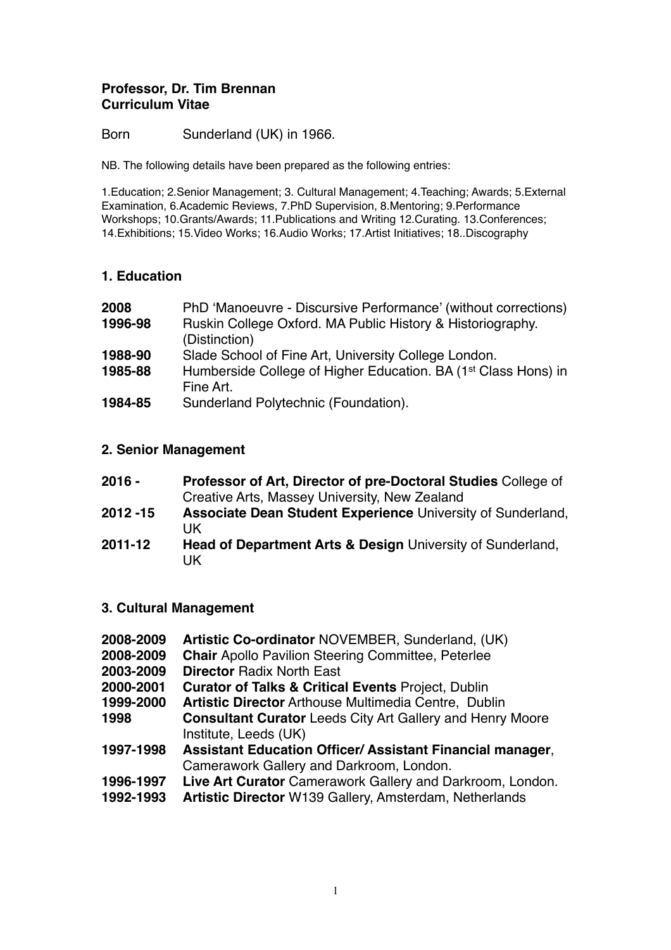### **Professor, Dr. Tim Brennan Curriculum Vitae**

Born Sunderland (UK) in 1966.

NB. The following details have been prepared as the following entries:

1.Education; 2.Senior Management; 3. Cultural Management; 4.Teaching; Awards; 5.External Examination, 6.Academic Reviews, 7.PhD Supervision, 8.Mentoring; 9.Performance Workshops; 10.Grants/Awards; 11.Publications and Writing 12.Curating. 13.Conferences; 14.Exhibitions; 15.Video Works; 16.Audio Works; 17.Artist Initiatives; 18..Discography

## **1. Education**

| 2008    | PhD 'Manoeuvre - Discursive Performance' (without corrections)             |
|---------|----------------------------------------------------------------------------|
| 1996-98 | Ruskin College Oxford. MA Public History & Historiography.                 |
|         | (Distinction)                                                              |
| 1988-90 | Slade School of Fine Art, University College London.                       |
| 1985-88 | Humberside College of Higher Education. BA (1 <sup>st</sup> Class Hons) in |
|         | Fine Art.                                                                  |
| 1984-85 | Sunderland Polytechnic (Foundation).                                       |

### **2. Senior Management**

| $2016 -$    | Professor of Art, Director of pre-Doctoral Studies College of     |
|-------------|-------------------------------------------------------------------|
|             | Creative Arts, Massey University, New Zealand                     |
| $2012 - 15$ | Associate Dean Student Experience University of Sunderland,<br>UK |
| $2011 - 12$ | Head of Department Arts & Design University of Sunderland,<br>UK  |

### **3. Cultural Management**

- **2008-2009 Artistic Co-ordinator** NOVEMBER, Sunderland, (UK)
- **2008-2009 Chair** Apollo Pavilion Steering Committee, Peterlee
- **2003-2009 Director** Radix North East
- **2000-2001 Curator of Talks & Critical Events** Project, Dublin
- **1999-2000 Artistic Director** Arthouse Multimedia Centre, Dublin
- **1998 Consultant Curator** Leeds City Art Gallery and Henry Moore Institute, Leeds (UK)
- **1997-1998 Assistant Education Officer/ Assistant Financial manager**, Camerawork Gallery and Darkroom, London.
- **1996-1997 Live Art Curator** Camerawork Gallery and Darkroom, London.
- **1992-1993 Artistic Director** W139 Gallery, Amsterdam, Netherlands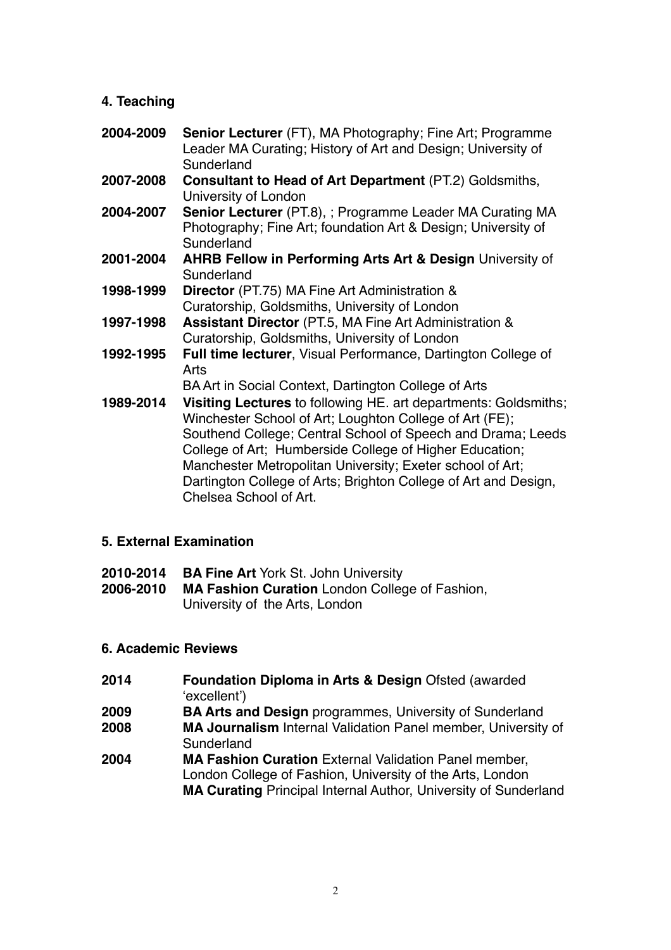# **4. Teaching**

- **2004-2009 Senior Lecturer** (FT), MA Photography; Fine Art; Programme Leader MA Curating; History of Art and Design; University of **Sunderland**
- **2007-2008 Consultant to Head of Art Department** (PT.2) Goldsmiths, University of London
- **2004-2007 Senior Lecturer** (PT.8), ; Programme Leader MA Curating MA Photography; Fine Art; foundation Art & Design; University of Sunderland
- **2001-2004 AHRB Fellow in Performing Arts Art & Design** University of **Sunderland**
- **1998-1999 Director** (PT.75) MA Fine Art Administration & Curatorship, Goldsmiths, University of London
- **1997-1998 Assistant Director** (PT.5, MA Fine Art Administration & Curatorship, Goldsmiths, University of London
- **1992-1995 Full time lecturer**, Visual Performance, Dartington College of Arts

BA Art in Social Context, Dartington College of Arts

**1989-2014 Visiting Lectures** to following HE. art departments: Goldsmiths; Winchester School of Art; Loughton College of Art (FE); Southend College; Central School of Speech and Drama; Leeds College of Art; Humberside College of Higher Education; Manchester Metropolitan University; Exeter school of Art; Dartington College of Arts; Brighton College of Art and Design, Chelsea School of Art.

# **5. External Examination**

- **2010-2014 BA Fine Art** York St. John University
- **2006-2010 MA Fashion Curation** London College of Fashion, University of the Arts, London

# **6. Academic Reviews**

- **2014 Foundation Diploma in Arts & Design Ofsted (awarded)** 'excellent')
- **2009 BA Arts and Design** programmes, University of Sunderland
- **2008 MA Journalism** Internal Validation Panel member, University of **Sunderland**
- **2004 MA Fashion Curation** External Validation Panel member, London College of Fashion, University of the Arts, London **MA Curating** Principal Internal Author, University of Sunderland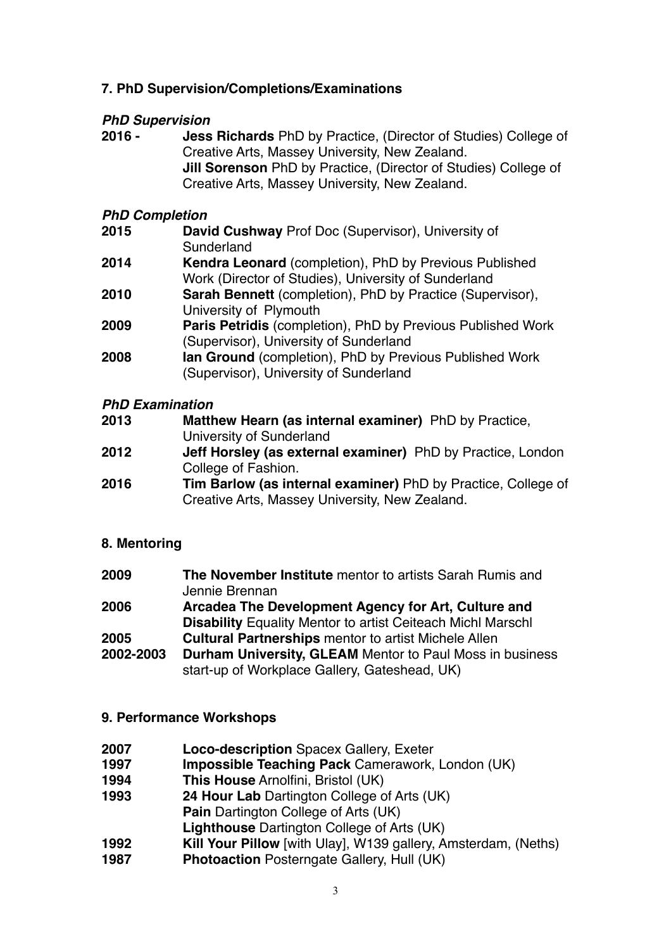# **7. PhD Supervision/Completions/Examinations**

## *PhD Supervision*

**2016 - Jess Richards** PhD by Practice, (Director of Studies) College of Creative Arts, Massey University, New Zealand. **Jill Sorenson** PhD by Practice, (Director of Studies) College of Creative Arts, Massey University, New Zealand.

# *PhD Completion*

**2015 David Cushway** Prof Doc (Supervisor), University of **Sunderland 2014 Kendra Leonard** (completion), PhD by Previous Published Work (Director of Studies), University of Sunderland **2010 Sarah Bennett** (completion), PhD by Practice (Supervisor), University of Plymouth **2009 Paris Petridis** (completion), PhD by Previous Published Work (Supervisor), University of Sunderland **2008 Ian Ground** (completion), PhD by Previous Published Work (Supervisor), University of Sunderland

## *PhD Examination*

| 2013 | Matthew Hearn (as internal examiner) PhD by Practice,              |
|------|--------------------------------------------------------------------|
|      | University of Sunderland                                           |
| 2012 | <b>Jeff Horsley (as external examiner)</b> PhD by Practice, London |
|      | College of Fashion.                                                |

**2016 Tim Barlow (as internal examiner)** PhD by Practice, College of Creative Arts, Massey University, New Zealand.

# **8. Mentoring**

| 2009      | The November Institute mentor to artists Sarah Rumis and<br>Jennie Brennan |
|-----------|----------------------------------------------------------------------------|
| 2006      | Arcadea The Development Agency for Art, Culture and                        |
|           | <b>Disability Equality Mentor to artist Ceiteach Michl Marschl</b>         |
| 2005      | <b>Cultural Partnerships</b> mentor to artist Michele Allen                |
| 2002-2003 | <b>Durham University, GLEAM Mentor to Paul Moss in business</b>            |
|           | start-up of Workplace Gallery, Gateshead, UK)                              |

# **9. Performance Workshops**

- **2007 Loco-description** Spacex Gallery, Exeter
- **1997 Impossible Teaching Pack** Camerawork, London (UK)
- **1994 This House** Arnolfini, Bristol (UK)
- **1993 24 Hour Lab** Dartington College of Arts (UK) **Pain** Dartington College of Arts (UK)
- **Lighthouse** Dartington College of Arts (UK)
- **1992 Kill Your Pillow** [with Ulay], W139 gallery, Amsterdam, (Neths)
- **1987 Photoaction** Posterngate Gallery, Hull (UK)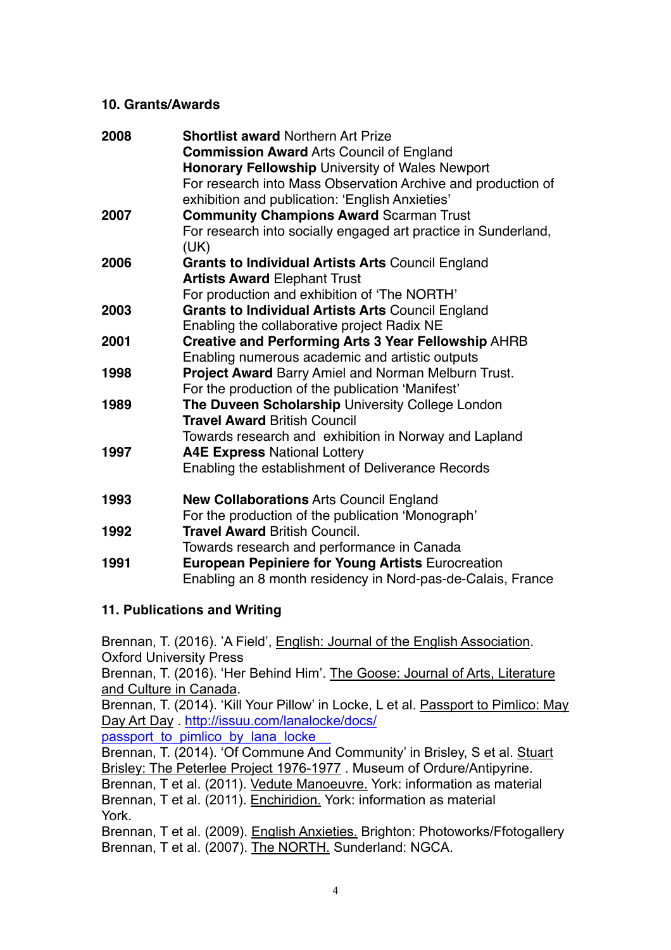## **10. Grants/Awards**

| 2008 | <b>Shortlist award Northern Art Prize</b>                      |
|------|----------------------------------------------------------------|
|      | <b>Commission Award Arts Council of England</b>                |
|      | Honorary Fellowship University of Wales Newport                |
|      | For research into Mass Observation Archive and production of   |
|      | exhibition and publication: 'English Anxieties'                |
| 2007 | <b>Community Champions Award Scarman Trust</b>                 |
|      | For research into socially engaged art practice in Sunderland, |
|      | (UK)                                                           |
| 2006 | <b>Grants to Individual Artists Arts Council England</b>       |
|      | <b>Artists Award Elephant Trust</b>                            |
|      | For production and exhibition of 'The NORTH'                   |
| 2003 | <b>Grants to Individual Artists Arts Council England</b>       |
|      | Enabling the collaborative project Radix NE                    |
| 2001 | <b>Creative and Performing Arts 3 Year Fellowship AHRB</b>     |
|      | Enabling numerous academic and artistic outputs                |
| 1998 | Project Award Barry Amiel and Norman Melburn Trust.            |
|      | For the production of the publication 'Manifest'               |
| 1989 | The Duveen Scholarship University College London               |
|      | <b>Travel Award British Council</b>                            |
|      | Towards research and exhibition in Norway and Lapland          |
| 1997 | <b>A4E Express National Lottery</b>                            |
|      | Enabling the establishment of Deliverance Records              |
| 1993 | <b>New Collaborations Arts Council England</b>                 |
|      | For the production of the publication 'Monograph'              |
| 1992 | <b>Travel Award British Council.</b>                           |
|      | Towards research and performance in Canada                     |
| 1991 | <b>European Pepiniere for Young Artists Eurocreation</b>       |
|      | Enabling an 8 month residency in Nord-pas-de-Calais, France    |

# **11. Publications and Writing**

Brennan, T. (2016). 'A Field', English: Journal of the English Association. Oxford University Press Brennan, T. (2016). 'Her Behind Him'. The Goose: Journal of Arts, Literature and Culture in Canada. Brennan, T. (2014). 'Kill Your Pillow' in Locke, L et al. Passport to Pimlico: May [Day Art Day . http://issuu.com/lanalocke/docs/](http://issuu.com/lanalocke/docs/passport_to_pimlico_by_lana_locke__) passport to pimlico by lana locke Brennan, T. (2014). 'Of Commune And Community' in Brisley, S et al. Stuart Brisley: The Peterlee Project 1976-1977 . Museum of Ordure/Antipyrine. Brennan, T et al. (2011). Vedute Manoeuvre. York: information as material Brennan, T et al. (2011). Enchiridion. York: information as material York.

Brennan, T et al. (2009). English Anxieties. Brighton: Photoworks/Ffotogallery Brennan, T et al. (2007). The NORTH. Sunderland: NGCA.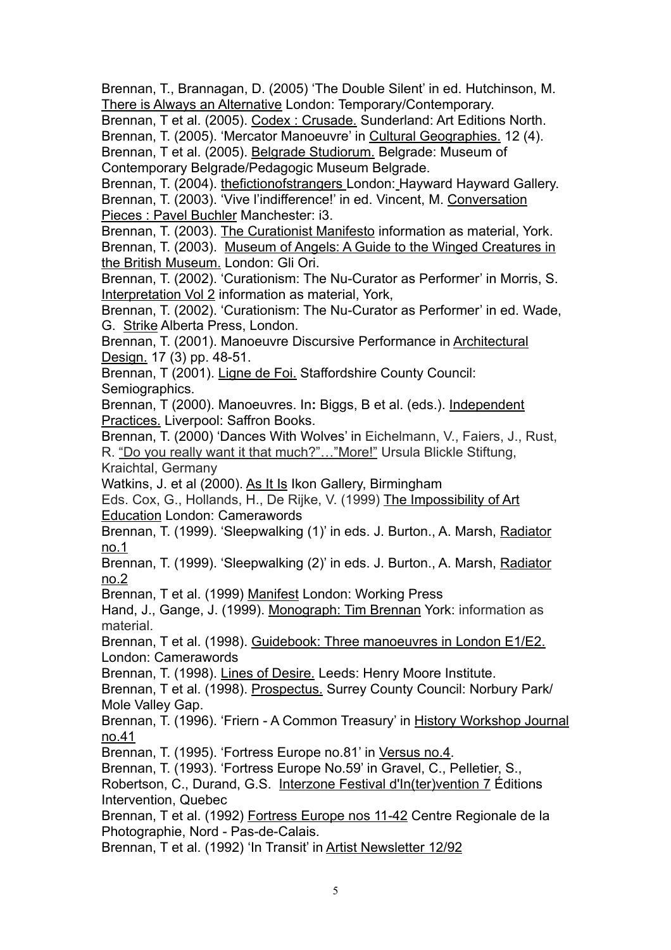Brennan, T., Brannagan, D. (2005) 'The Double Silent' in ed. Hutchinson, M. There is Always an Alternative London: Temporary/Contemporary.

Brennan, T et al. (2005). Codex : Crusade. Sunderland: Art Editions North. Brennan, T. (2005). 'Mercator Manoeuvre' in Cultural Geographies. 12 (4). Brennan, T et al. (2005). Belgrade Studiorum. Belgrade: Museum of Contemporary Belgrade/Pedagogic Museum Belgrade.

Brennan, T. (2004). thefictionofstrangers London: Hayward Hayward Gallery. Brennan, T. (2003). 'Vive l'indifference!' in ed. Vincent, M. Conversation Pieces : Pavel Buchler Manchester: i3.

Brennan, T. (2003). The Curationist Manifesto information as material, York. Brennan, T. (2003). Museum of Angels: A Guide to the Winged Creatures in the British Museum. London: Gli Ori.

Brennan, T. (2002). 'Curationism: The Nu-Curator as Performer' in Morris, S. Interpretation Vol 2 information as material, York,

Brennan, T. (2002). 'Curationism: The Nu-Curator as Performer' in ed. Wade, G. Strike Alberta Press, London.

Brennan, T. (2001). Manoeuvre Discursive Performance in Architectural Design. 17 (3) pp. 48-51.

Brennan, T (2001). Ligne de Foi. Staffordshire County Council: Semiographics.

Brennan, T (2000). Manoeuvres. In**:** Biggs, B et al. (eds.). Independent Practices. Liverpool: Saffron Books.

Brennan, T. (2000) 'Dances With Wolves' in Eichelmann, V., Faiers, J., Rust, R. "Do you really want it that much?"…"More!" Ursula Blickle Stiftung,

Kraichtal, Germany

Watkins, J. et al (2000). As It Is Ikon Gallery, Birmingham

Eds. Cox, G., Hollands, H., De Rijke, V. (1999) The Impossibility of Art Education London: Camerawords

Brennan, T. (1999). 'Sleepwalking (1)' in eds. J. Burton., A. Marsh, Radiator no.1

Brennan, T. (1999). 'Sleepwalking (2)' in eds. J. Burton., A. Marsh, Radiator no.2

Brennan, T et al. (1999) Manifest London: Working Press

Hand, J., Gange, J. (1999). Monograph: Tim Brennan York: information as material.

Brennan, T et al. (1998). Guidebook: Three manoeuvres in London E1/E2. London: Camerawords

Brennan, T. (1998). Lines of Desire. Leeds: Henry Moore Institute.

Brennan, T et al. (1998). Prospectus. Surrey County Council: Norbury Park/ Mole Valley Gap.

Brennan, T. (1996). 'Friern - A Common Treasury' in History Workshop Journal no.41

Brennan, T. (1995). 'Fortress Europe no.81' in Versus no.4.

Brennan, T. (1993). 'Fortress Europe No.59' in Gravel, C., Pelletier, S.,

Robertson, C., Durand, G.S. Interzone Festival d'In(ter)vention 7 Éditions Intervention, Quebec

Brennan, T et al. (1992) Fortress Europe nos 11-42 Centre Regionale de la Photographie, Nord - Pas-de-Calais.

Brennan, T et al. (1992) 'In Transit' in Artist Newsletter 12/92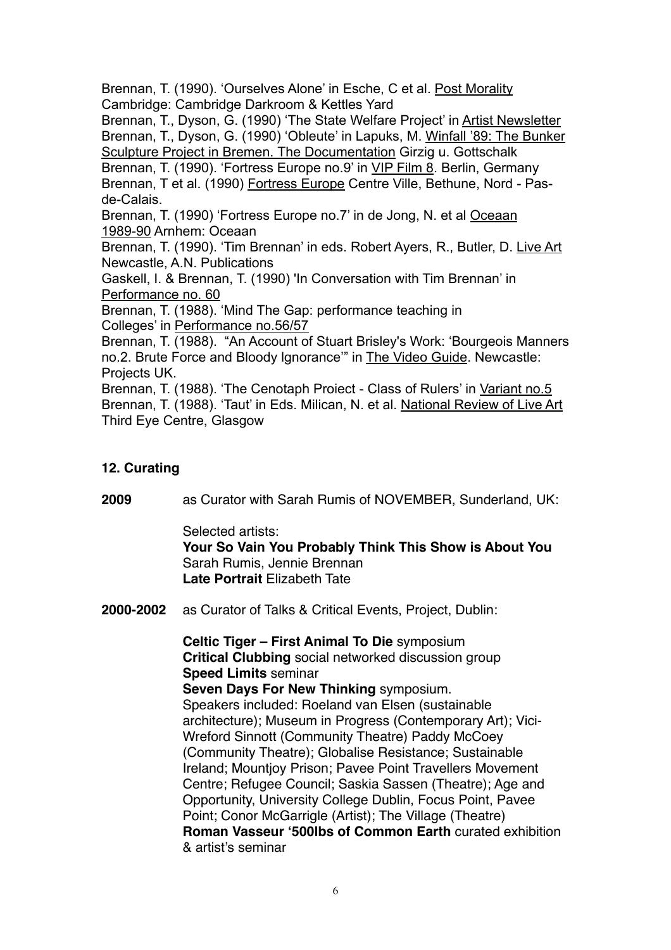Brennan, T. (1990). 'Ourselves Alone' in Esche, C et al. Post Morality Cambridge: Cambridge Darkroom & Kettles Yard

Brennan, T., Dyson, G. (1990) 'The State Welfare Project' in Artist Newsletter Brennan, T., Dyson, G. (1990) 'Obleute' in Lapuks, M. Winfall '89: The Bunker Sculpture Project in Bremen. The Documentation Girzig u. Gottschalk

Brennan, T. (1990). 'Fortress Europe no.9' in VIP Film 8. Berlin, Germany Brennan, T et al. (1990) Fortress Europe Centre Ville, Bethune, Nord - Pasde-Calais.

Brennan, T. (1990) 'Fortress Europe no.7' in de Jong, N. et al Oceaan 1989-90 Arnhem: Oceaan

Brennan, T. (1990). 'Tim Brennan' in eds. Robert Ayers, R., Butler, D. Live Art Newcastle, A.N. Publications

Gaskell, I. & Brennan, T. (1990) 'In Conversation with Tim Brennan' in Performance no. 60

Brennan, T. (1988). 'Mind The Gap: performance teaching in Colleges' in Performance no.56/57

Brennan, T. (1988). "An Account of Stuart Brisley's Work: 'Bourgeois Manners no.2. Brute Force and Bloody lgnorance'" in The Video Guide. Newcastle: Projects UK.

Brennan, T. (1988). 'The Cenotaph Proiect - Class of Rulers' in Variant no.5 Brennan, T. (1988). 'Taut' in Eds. Milican, N. et al. National Review of Live Art Third Eye Centre, Glasgow

# **12. Curating**

**2009** as Curator with Sarah Rumis of NOVEMBER, Sunderland, UK:

Selected artists:

**Your So Vain You Probably Think This Show is About You** Sarah Rumis, Jennie Brennan **Late Portrait** Elizabeth Tate

**2000-2002** as Curator of Talks & Critical Events, Project, Dublin:

**Celtic Tiger – First Animal To Die** symposium **Critical Clubbing** social networked discussion group **Speed Limits** seminar **Seven Days For New Thinking** symposium. Speakers included: Roeland van Elsen (sustainable architecture); Museum in Progress (Contemporary Art); Vici-Wreford Sinnott (Community Theatre) Paddy McCoey (Community Theatre); Globalise Resistance; Sustainable Ireland; Mountjoy Prison; Pavee Point Travellers Movement Centre; Refugee Council; Saskia Sassen (Theatre); Age and Opportunity, University College Dublin, Focus Point, Pavee Point; Conor McGarrigle (Artist); The Village (Theatre) **Roman Vasseur '500lbs of Common Earth** curated exhibition & artist's seminar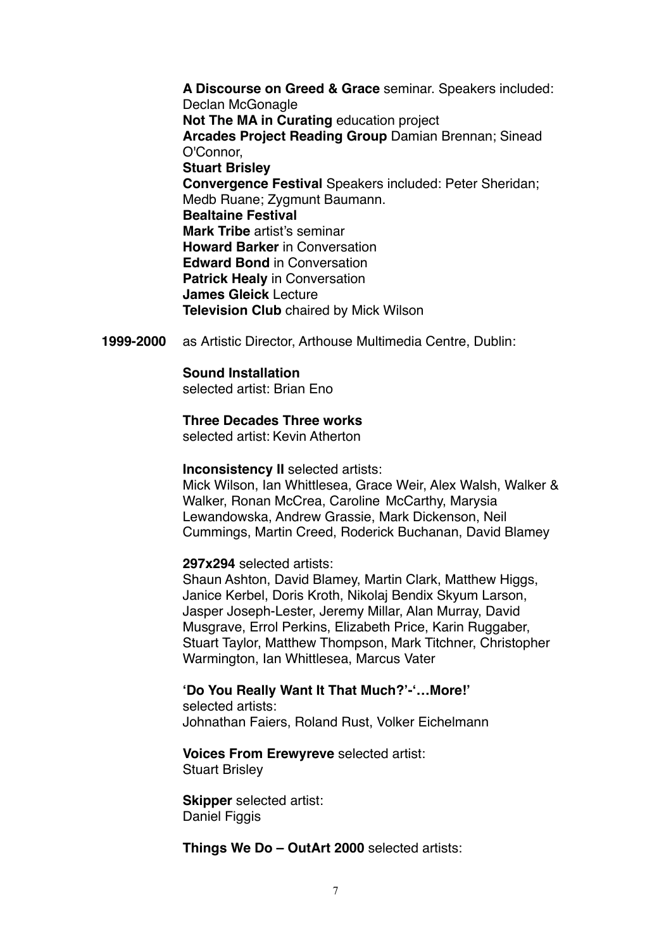**A Discourse on Greed & Grace** seminar. Speakers included: Declan McGonagle **Not The MA in Curating** education project **Arcades Project Reading Group** Damian Brennan; Sinead O'Connor, **Stuart Brisley Convergence Festival** Speakers included: Peter Sheridan; Medb Ruane; Zygmunt Baumann. **Bealtaine Festival Mark Tribe** artist's seminar **Howard Barker** in Conversation **Edward Bond** in Conversation **Patrick Healy** in Conversation **James Gleick** Lecture **Television Club** chaired by Mick Wilson

**1999-2000** as Artistic Director, Arthouse Multimedia Centre, Dublin:

#### **Sound Installation**

selected artist: Brian Eno

#### **Three Decades Three works**

selected artist: Kevin Atherton

#### **Inconsistency II** selected artists:

Mick Wilson, Ian Whittlesea, Grace Weir, Alex Walsh, Walker & Walker, Ronan McCrea, Caroline McCarthy, Marysia Lewandowska, Andrew Grassie, Mark Dickenson, Neil Cummings, Martin Creed, Roderick Buchanan, David Blamey

### **297x294** selected artists:

Shaun Ashton, David Blamey, Martin Clark, Matthew Higgs, Janice Kerbel, Doris Kroth, Nikolaj Bendix Skyum Larson, Jasper Joseph-Lester, Jeremy Millar, Alan Murray, David Musgrave, Errol Perkins, Elizabeth Price, Karin Ruggaber, Stuart Taylor, Matthew Thompson, Mark Titchner, Christopher Warmington, Ian Whittlesea, Marcus Vater

#### **'Do You Really Want It That Much?'-'…More!'**  selected artists:

Johnathan Faiers, Roland Rust, Volker Eichelmann

### **Voices From Erewyreve** selected artist:

Stuart Brisley

**Skipper** selected artist: Daniel Figgis

### **Things We Do – OutArt 2000** selected artists: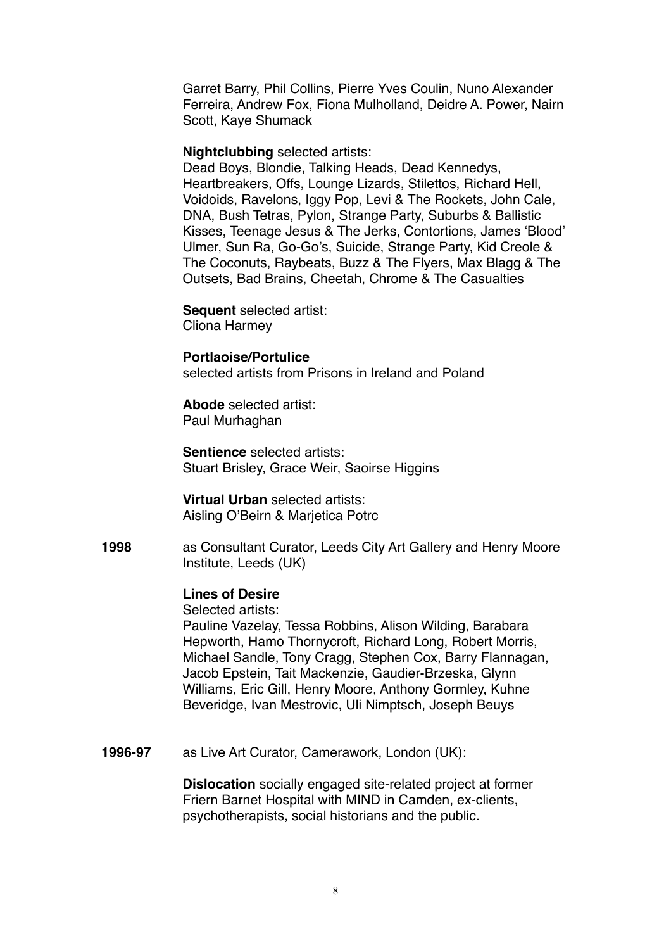Garret Barry, Phil Collins, Pierre Yves Coulin, Nuno Alexander Ferreira, Andrew Fox, Fiona Mulholland, Deidre A. Power, Nairn Scott, Kaye Shumack

#### **Nightclubbing** selected artists:

Dead Boys, Blondie, Talking Heads, Dead Kennedys, Heartbreakers, Offs, Lounge Lizards, Stilettos, Richard Hell, Voidoids, Ravelons, Iggy Pop, Levi & The Rockets, John Cale, DNA, Bush Tetras, Pylon, Strange Party, Suburbs & Ballistic Kisses, Teenage Jesus & The Jerks, Contortions, James 'Blood' Ulmer, Sun Ra, Go-Go's, Suicide, Strange Party, Kid Creole & The Coconuts, Raybeats, Buzz & The Flyers, Max Blagg & The Outsets, Bad Brains, Cheetah, Chrome & The Casualties

**Sequent** selected artist:

Cliona Harmey

### **Portlaoise/Portulice**

selected artists from Prisons in Ireland and Poland

**Abode** selected artist: Paul Murhaghan

**Sentience** selected artists: Stuart Brisley, Grace Weir, Saoirse Higgins

**Virtual Urban** selected artists: Aisling O'Beirn & Marjetica Potrc

**1998** as Consultant Curator, Leeds City Art Gallery and Henry Moore Institute, Leeds (UK)

# **Lines of Desire**

Selected artists:

Pauline Vazelay, Tessa Robbins, Alison Wilding, Barabara Hepworth, Hamo Thornycroft, Richard Long, Robert Morris, Michael Sandle, Tony Cragg, Stephen Cox, Barry Flannagan, Jacob Epstein, Tait Mackenzie, Gaudier-Brzeska, Glynn Williams, Eric Gill, Henry Moore, Anthony Gormley, Kuhne Beveridge, Ivan Mestrovic, Uli Nimptsch, Joseph Beuys

**1996-97** as Live Art Curator, Camerawork, London (UK):

**Dislocation** socially engaged site-related project at former Friern Barnet Hospital with MIND in Camden, ex-clients, psychotherapists, social historians and the public.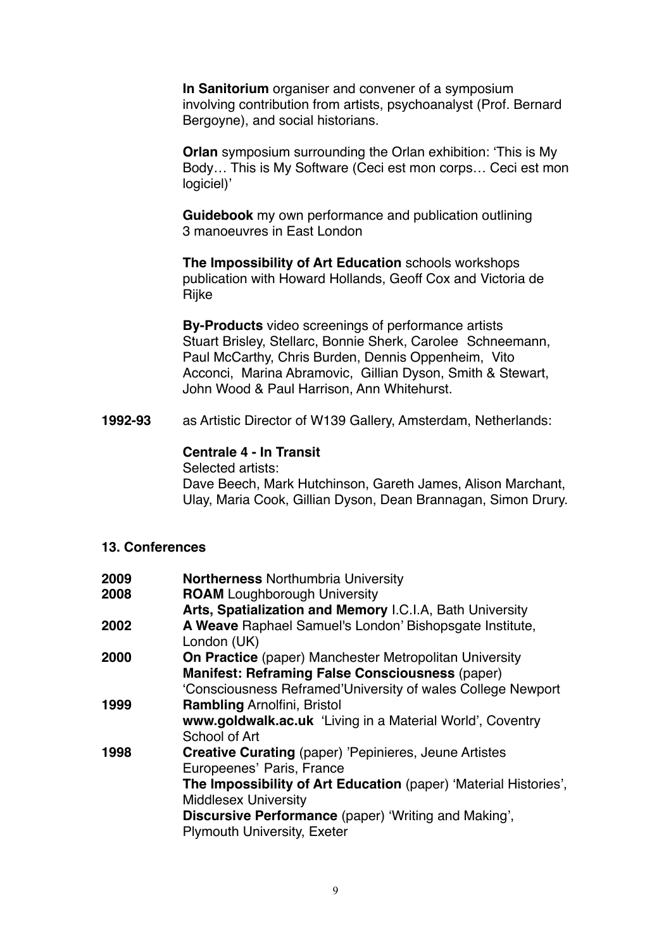**In Sanitorium** organiser and convener of a symposium involving contribution from artists, psychoanalyst (Prof. Bernard Bergoyne), and social historians.

**Orlan** symposium surrounding the Orlan exhibition: 'This is My Body… This is My Software (Ceci est mon corps… Ceci est mon logiciel)'

**Guidebook** my own performance and publication outlining 3 manoeuvres in East London

**The Impossibility of Art Education** schools workshops publication with Howard Hollands, Geoff Cox and Victoria de **Rijke** 

**By-Products** video screenings of performance artists Stuart Brisley, Stellarc, Bonnie Sherk, Carolee Schneemann, Paul McCarthy, Chris Burden, Dennis Oppenheim, Vito Acconci, Marina Abramovic, Gillian Dyson, Smith & Stewart, John Wood & Paul Harrison, Ann Whitehurst.

**1992-93** as Artistic Director of W139 Gallery, Amsterdam, Netherlands:

### **Centrale 4 - In Transit**

Selected artists:

Dave Beech, Mark Hutchinson, Gareth James, Alison Marchant, Ulay, Maria Cook, Gillian Dyson, Dean Brannagan, Simon Drury.

### **13. Conferences**

| 2009 | <b>Northerness Northumbria University</b>                        |
|------|------------------------------------------------------------------|
| 2008 | <b>ROAM</b> Loughborough University                              |
|      | Arts, Spatialization and Memory I.C.I.A, Bath University         |
| 2002 | A Weave Raphael Samuel's London' Bishopsgate Institute,          |
|      | London (UK)                                                      |
| 2000 | <b>On Practice</b> (paper) Manchester Metropolitan University    |
|      | <b>Manifest: Reframing False Consciousness (paper)</b>           |
|      | 'Consciousness Reframed'University of wales College Newport      |
| 1999 | <b>Rambling Arnolfini, Bristol</b>                               |
|      | www.goldwalk.ac.uk 'Living in a Material World', Coventry        |
|      | School of Art                                                    |
| 1998 | <b>Creative Curating (paper) 'Pepinieres, Jeune Artistes</b>     |
|      | Europeenes' Paris, France                                        |
|      | The Impossibility of Art Education (paper) 'Material Histories', |
|      | <b>Middlesex University</b>                                      |
|      | <b>Discursive Performance</b> (paper) 'Writing and Making',      |
|      | <b>Plymouth University, Exeter</b>                               |
|      |                                                                  |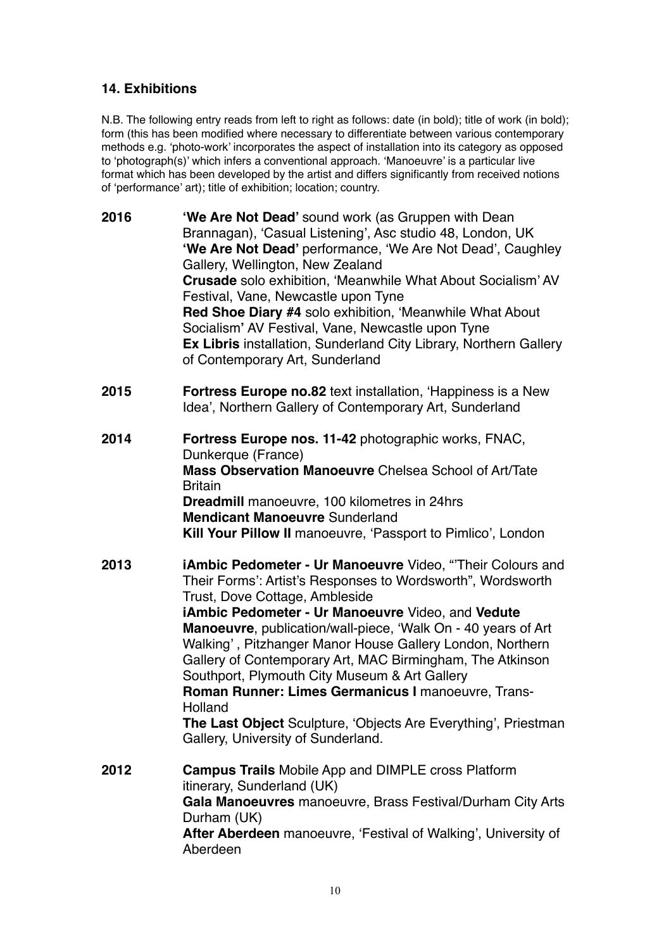# **14. Exhibitions**

N.B. The following entry reads from left to right as follows: date (in bold); title of work (in bold); form (this has been modified where necessary to differentiate between various contemporary methods e.g. 'photo-work' incorporates the aspect of installation into its category as opposed to 'photograph(s)' which infers a conventional approach. 'Manoeuvre' is a particular live format which has been developed by the artist and differs significantly from received notions of 'performance' art); title of exhibition; location; country.

| 2016 | 'We Are Not Dead' sound work (as Gruppen with Dean<br>Brannagan), 'Casual Listening', Asc studio 48, London, UK<br>'We Are Not Dead' performance, 'We Are Not Dead', Caughley<br>Gallery, Wellington, New Zealand<br><b>Crusade</b> solo exhibition, 'Meanwhile What About Socialism' AV<br>Festival, Vane, Newcastle upon Tyne<br>Red Shoe Diary #4 solo exhibition, 'Meanwhile What About<br>Socialism' AV Festival, Vane, Newcastle upon Tyne<br>Ex Libris installation, Sunderland City Library, Northern Gallery<br>of Contemporary Art, Sunderland                                                                                    |
|------|---------------------------------------------------------------------------------------------------------------------------------------------------------------------------------------------------------------------------------------------------------------------------------------------------------------------------------------------------------------------------------------------------------------------------------------------------------------------------------------------------------------------------------------------------------------------------------------------------------------------------------------------|
| 2015 | <b>Fortress Europe no.82</b> text installation, 'Happiness is a New<br>Idea', Northern Gallery of Contemporary Art, Sunderland                                                                                                                                                                                                                                                                                                                                                                                                                                                                                                              |
| 2014 | Fortress Europe nos. 11-42 photographic works, FNAC,<br>Dunkerque (France)<br>Mass Observation Manoeuvre Chelsea School of Art/Tate<br><b>Britain</b><br><b>Dreadmill</b> manoeuvre, 100 kilometres in 24hrs<br><b>Mendicant Manoeuvre Sunderland</b><br>Kill Your Pillow II manoeuvre, 'Passport to Pimlico', London                                                                                                                                                                                                                                                                                                                       |
| 2013 | <b>iAmbic Pedometer - Ur Manoeuvre Video, "Their Colours and</b><br>Their Forms': Artist's Responses to Wordsworth", Wordsworth<br>Trust, Dove Cottage, Ambleside<br>iAmbic Pedometer - Ur Manoeuvre Video, and Vedute<br>Manoeuvre, publication/wall-piece, 'Walk On - 40 years of Art<br>Walking', Pitzhanger Manor House Gallery London, Northern<br>Gallery of Contemporary Art, MAC Birmingham, The Atkinson<br>Southport, Plymouth City Museum & Art Gallery<br>Roman Runner: Limes Germanicus I manoeuvre, Trans-<br>Holland<br>The Last Object Sculpture, 'Objects Are Everything', Priestman<br>Gallery, University of Sunderland. |
| 2012 | <b>Campus Trails</b> Mobile App and DIMPLE cross Platform<br>itinerary, Sunderland (UK)<br>Gala Manoeuvres manoeuvre, Brass Festival/Durham City Arts<br>Durham (UK)<br><b>After Aberdeen</b> manoeuvre, 'Festival of Walking', University of<br>Aberdeen                                                                                                                                                                                                                                                                                                                                                                                   |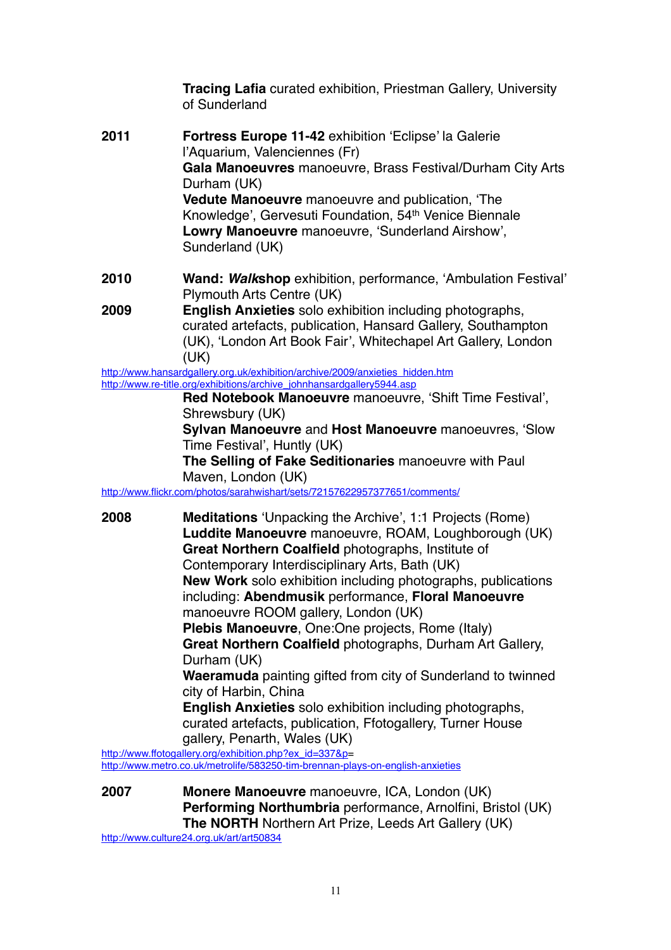**Tracing Lafia** curated exhibition, Priestman Gallery, University of Sunderland **2011 Fortress Europe 11-42** exhibition 'Eclipse' la Galerie l'Aquarium, Valenciennes (Fr) **Gala Manoeuvres** manoeuvre, Brass Festival/Durham City Arts Durham (UK) **Vedute Manoeuvre** manoeuvre and publication, 'The Knowledge', Gervesuti Foundation, 54<sup>th</sup> Venice Biennale **Lowry Manoeuvre** manoeuvre, 'Sunderland Airshow', Sunderland (UK) **2010 Wand:** *Walk***shop** exhibition, performance, 'Ambulation Festival' Plymouth Arts Centre (UK) **2009 English Anxieties** solo exhibition including photographs, curated artefacts, publication, Hansard Gallery, Southampton (UK), 'London Art Book Fair', Whitechapel Art Gallery, London (UK) [http://www.hansardgallery.org.uk/exhibition/archive/2009/anxieties\\_hidden.htm](http://www.hansardgallery.org.uk/exhibition/archive/2009/anxieties_hidden.htm) [http://www.re-title.org/exhibitions/archive\\_johnhansardgallery5944.asp](http://www.re-title.org/exhibitions/archive_johnhansardgallery5944.asp) **Red Notebook Manoeuvre** manoeuvre, 'Shift Time Festival', Shrewsbury (UK) **Sylvan Manoeuvre** and **Host Manoeuvre** manoeuvres, 'Slow Time Festival', Huntly (UK) **The Selling of Fake Seditionaries** manoeuvre with Paul Maven, London (UK) <http://www.flickr.com/photos/sarahwishart/sets/72157622957377651/comments/> **2008 Meditations** 'Unpacking the Archive', 1:1 Projects (Rome) **Luddite Manoeuvre** manoeuvre, ROAM, Loughborough (UK) **Great Northern Coalfield** photographs, Institute of Contemporary Interdisciplinary Arts, Bath (UK) **New Work** solo exhibition including photographs, publications including: **Abendmusik** performance, **Floral Manoeuvre** manoeuvre ROOM gallery, London (UK) **Plebis Manoeuvre**, One:One projects, Rome (Italy) **Great Northern Coalfield** photographs, Durham Art Gallery, Durham (UK) **Waeramuda** painting gifted from city of Sunderland to twinned city of Harbin, China **English Anxieties** solo exhibition including photographs, curated artefacts, publication, Ffotogallery, Turner House gallery, Penarth, Wales (UK) [http://www.ffotogallery.org/exhibition.php?ex\\_id=337&p=](http://www.ffotogallery.org/exhibition.php?ex_id=337&p)

<http://www.metro.co.uk/metrolife/583250-tim-brennan-plays-on-english-anxieties>

**2007 Monere Manoeuvre** manoeuvre, ICA, London (UK) **Performing Northumbria** performance, Arnolfini, Bristol (UK) **The NORTH** Northern Art Prize, Leeds Art Gallery (UK)

<http://www.culture24.org.uk/art/art50834>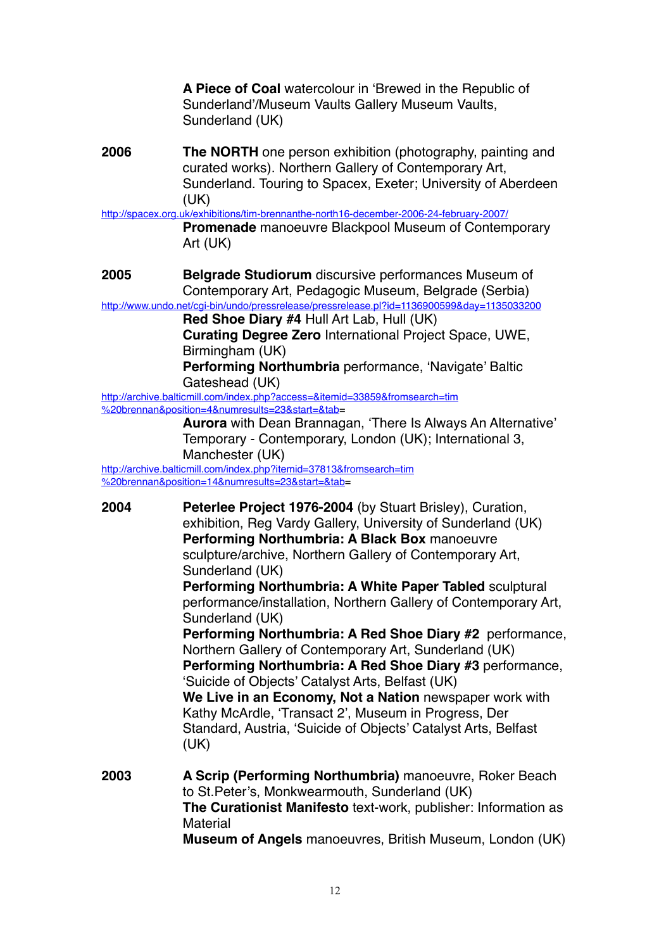**A Piece of Coal** watercolour in 'Brewed in the Republic of Sunderland'/Museum Vaults Gallery Museum Vaults, Sunderland (UK)

**2006 The NORTH** one person exhibition (photography, painting and curated works). Northern Gallery of Contemporary Art, Sunderland. Touring to Spacex, Exeter; University of Aberdeen (UK)

<http://spacex.org.uk/exhibitions/tim-brennanthe-north16-december-2006-24-february-2007/>

**Promenade** manoeuvre Blackpool Museum of Contemporary Art (UK)

**2005 Belgrade Studiorum** discursive performances Museum of Contemporary Art, Pedagogic Museum, Belgrade (Serbia)

<http://www.undo.net/cgi-bin/undo/pressrelease/pressrelease.pl?id=1136900599&day=1135033200> **Red Shoe Diary #4** Hull Art Lab, Hull (UK)

**Curating Degree Zero** International Project Space, UWE, Birmingham (UK)

**Performing Northumbria** performance, 'Navigate' Baltic Gateshead (UK)

[http://archive.balticmill.com/index.php?access=&itemid=33859&fromsearch=tim](http://archive.balticmill.com/index.php?access=&itemid=33859&fromsearch=tim%2520brennan&position=4&numresults=23&start=&tab) %20brennan&position=4&numresults=23&start=&tab=

**Aurora** with Dean Brannagan, 'There Is Always An Alternative' Temporary - Contemporary, London (UK); International 3, Manchester (UK) [http://archive.balticmill.com/index.php?itemid=37813&fromsearch=tim](http://archive.balticmill.com/index.php?itemid=37813&fromsearch=tim%2520brennan&position=14&numresults=23&start=&tab)

%20brennan&position=14&numresults=23&start=&tab=

**2004 Peterlee Project 1976-2004** (by Stuart Brisley), Curation, exhibition, Reg Vardy Gallery, University of Sunderland (UK) **Performing Northumbria: A Black Box** manoeuvre sculpture/archive, Northern Gallery of Contemporary Art, Sunderland (UK)

**Performing Northumbria: A White Paper Tabled** sculptural performance/installation, Northern Gallery of Contemporary Art, Sunderland (UK)

**Performing Northumbria: A Red Shoe Diary #2** performance, Northern Gallery of Contemporary Art, Sunderland (UK) **Performing Northumbria: A Red Shoe Diary #3** performance,

'Suicide of Objects' Catalyst Arts, Belfast (UK) **We Live in an Economy, Not a Nation** newspaper work with Kathy McArdle, 'Transact 2', Museum in Progress, Der Standard, Austria, 'Suicide of Objects' Catalyst Arts, Belfast

(UK)

**2003 A Scrip (Performing Northumbria)** manoeuvre, Roker Beach to St.Peter's, Monkwearmouth, Sunderland (UK) **The Curationist Manifesto** text-work, publisher: Information as **Material Museum of Angels** manoeuvres, British Museum, London (UK)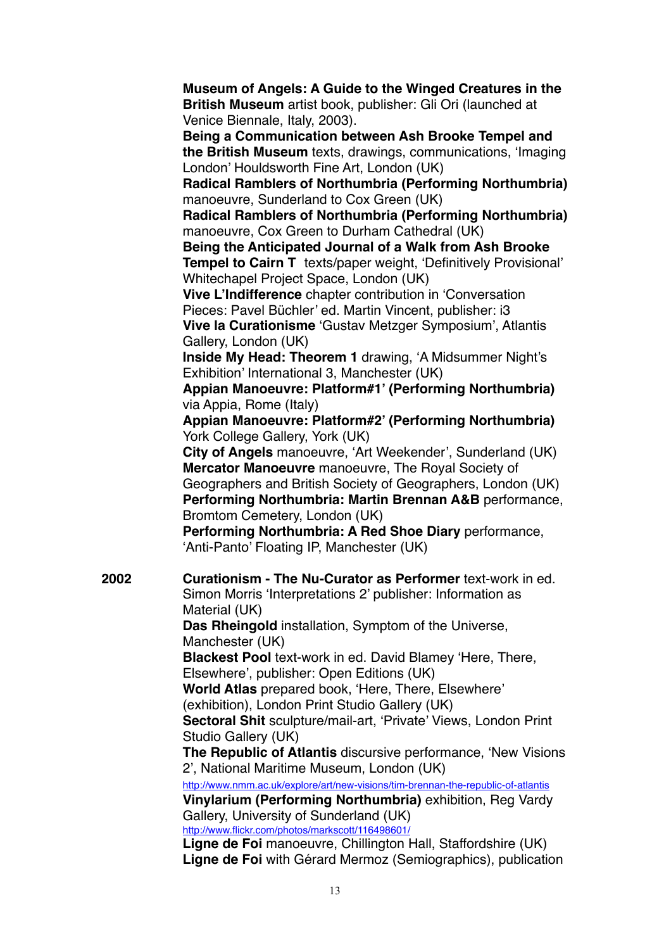**Museum of Angels: A Guide to the Winged Creatures in the British Museum** artist book, publisher: Gli Ori (launched at Venice Biennale, Italy, 2003). **Being a Communication between Ash Brooke Tempel and** 

**the British Museum** texts, drawings, communications, 'Imaging London' Houldsworth Fine Art, London (UK)

**Radical Ramblers of Northumbria (Performing Northumbria)** manoeuvre, Sunderland to Cox Green (UK)

**Radical Ramblers of Northumbria (Performing Northumbria)**  manoeuvre, Cox Green to Durham Cathedral (UK)

**Being the Anticipated Journal of a Walk from Ash Brooke Tempel to Cairn T** texts/paper weight, 'Definitively Provisional' Whitechapel Project Space, London (UK)

**Vive L'Indifference** chapter contribution in 'Conversation Pieces: Pavel Büchler' ed. Martin Vincent, publisher: i3 **Vive la Curationisme** 'Gustav Metzger Symposium', Atlantis

Gallery, London (UK)

**Inside My Head: Theorem 1** drawing, 'A Midsummer Night's Exhibition' International 3, Manchester (UK)

**Appian Manoeuvre: Platform#1' (Performing Northumbria)** via Appia, Rome (Italy)

**Appian Manoeuvre: Platform#2' (Performing Northumbria)** York College Gallery, York (UK)

**City of Angels** manoeuvre, 'Art Weekender', Sunderland (UK) **Mercator Manoeuvre** manoeuvre, The Royal Society of Geographers and British Society of Geographers, London (UK) **Performing Northumbria: Martin Brennan A&B** performance, Bromtom Cemetery, London (UK)

**Performing Northumbria: A Red Shoe Diary** performance, 'Anti-Panto' Floating IP, Manchester (UK)

**2002 Curationism - The Nu-Curator as Performer** text-work in ed. Simon Morris 'Interpretations 2' publisher: Information as Material (UK) **Das Rheingold** installation, Symptom of the Universe, Manchester (UK) **Blackest Pool** text-work in ed. David Blamey 'Here, There, Elsewhere', publisher: Open Editions (UK) **World Atlas** prepared book, 'Here, There, Elsewhere' (exhibition), London Print Studio Gallery (UK) **Sectoral Shit** sculpture/mail-art, 'Private' Views, London Print Studio Gallery (UK) **The Republic of Atlantis** discursive performance, 'New Visions 2', National Maritime Museum, London (UK) <http://www.nmm.ac.uk/explore/art/new-visions/tim-brennan-the-republic-of-atlantis> **Vinylarium (Performing Northumbria)** exhibition, Reg Vardy Gallery, University of Sunderland (UK)

<http://www.flickr.com/photos/markscott/116498601/>

**Ligne de Foi** manoeuvre, Chillington Hall, Staffordshire (UK) **Ligne de Foi** with Gérard Mermoz (Semiographics), publication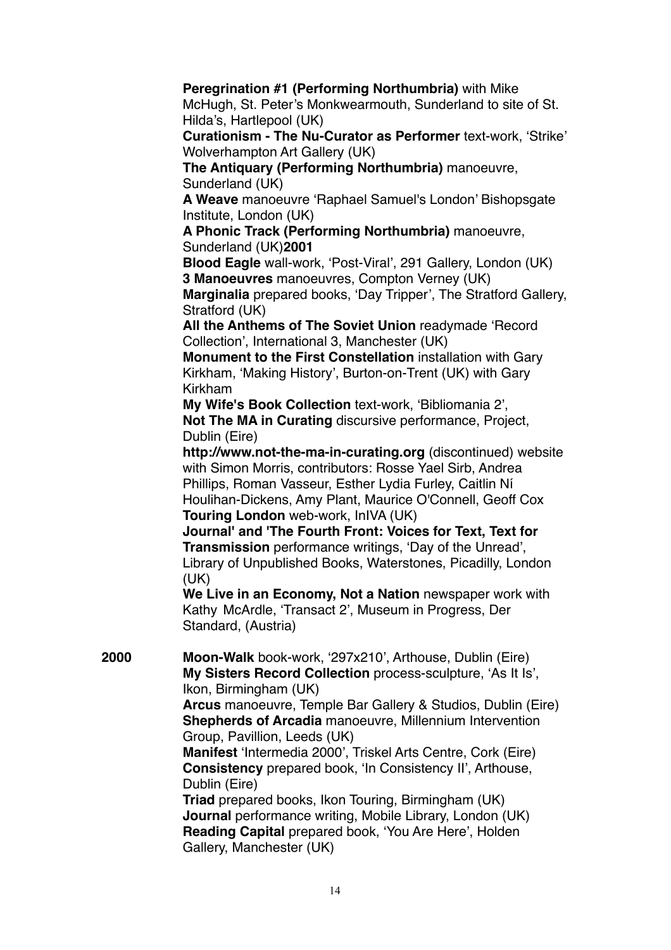## **Peregrination #1 (Performing Northumbria)** with Mike McHugh, St. Peter's Monkwearmouth, Sunderland to site of St. Hilda's, Hartlepool (UK) **Curationism - The Nu-Curator as Performer** text-work, 'Strike' Wolverhampton Art Gallery (UK) **The Antiquary (Performing Northumbria)** manoeuvre, Sunderland (UK) **A Weave** manoeuvre 'Raphael Samuel's London' Bishopsgate Institute, London (UK) **A Phonic Track (Performing Northumbria)** manoeuvre, Sunderland (UK)**2001 Blood Eagle** wall-work, 'Post-Viral', 291 Gallery, London (UK) **3 Manoeuvres** manoeuvres, Compton Verney (UK) **Marginalia** prepared books, 'Day Tripper', The Stratford Gallery, Stratford (UK) **All the Anthems of The Soviet Union** readymade 'Record Collection', International 3, Manchester (UK) **Monument to the First Constellation** installation with Gary Kirkham, 'Making History', Burton-on-Trent (UK) with Gary Kirkham **My Wife's Book Collection** text-work, 'Bibliomania 2', **Not The MA in Curating** discursive performance, Project, Dublin (Eire) **<http://www.not-the-ma-in-curating.org>** (discontinued) website with Simon Morris, contributors: Rosse Yael Sirb, Andrea Phillips, Roman Vasseur, Esther Lydia Furley, Caitlin Ní Houlihan-Dickens, Amy Plant, Maurice O'Connell, Geoff Cox **Touring London** web-work, InIVA (UK) **Journal' and 'The Fourth Front: Voices for Text, Text for Transmission** performance writings, 'Day of the Unread', Library of Unpublished Books, Waterstones, Picadilly, London (UK) **We Live in an Economy, Not a Nation** newspaper work with Kathy McArdle, 'Transact 2', Museum in Progress, Der Standard, (Austria) **2000 Moon-Walk** book-work, '297x210', Arthouse, Dublin (Eire) **My Sisters Record Collection** process-sculpture, 'As It Is', Ikon, Birmingham (UK) **Arcus** manoeuvre, Temple Bar Gallery & Studios, Dublin (Eire) **Shepherds of Arcadia** manoeuvre, Millennium Intervention Group, Pavillion, Leeds (UK) **Manifest** 'Intermedia 2000', Triskel Arts Centre, Cork (Eire) **Consistency** prepared book, 'In Consistency II', Arthouse, Dublin (Eire) **Triad** prepared books, Ikon Touring, Birmingham (UK) **Journal** performance writing, Mobile Library, London (UK) **Reading Capital** prepared book, 'You Are Here', Holden Gallery, Manchester (UK)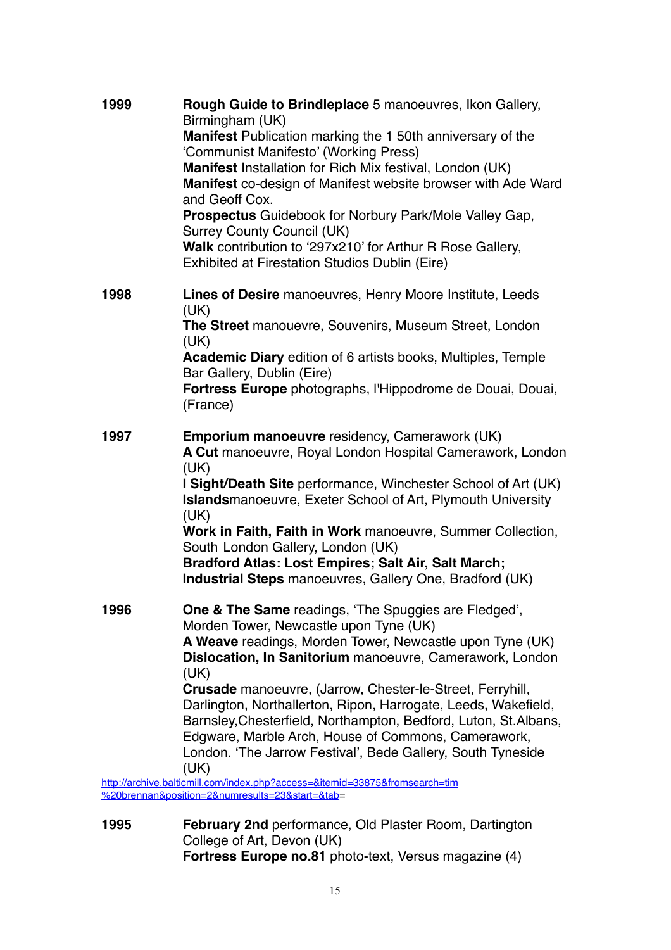| 1999 | Rough Guide to Brindleplace 5 manoeuvres, Ikon Gallery,                                                                            |
|------|------------------------------------------------------------------------------------------------------------------------------------|
|      | Birmingham (UK)<br>Manifest Publication marking the 1 50th anniversary of the                                                      |
|      | 'Communist Manifesto' (Working Press)                                                                                              |
|      | Manifest Installation for Rich Mix festival, London (UK)                                                                           |
|      | Manifest co-design of Manifest website browser with Ade Ward                                                                       |
|      | and Geoff Cox.                                                                                                                     |
|      | Prospectus Guidebook for Norbury Park/Mole Valley Gap,                                                                             |
|      | <b>Surrey County Council (UK)</b>                                                                                                  |
|      | Walk contribution to '297x210' for Arthur R Rose Gallery,<br><b>Exhibited at Firestation Studios Dublin (Eire)</b>                 |
|      |                                                                                                                                    |
| 1998 | Lines of Desire manoeuvres, Henry Moore Institute, Leeds<br>(UK)                                                                   |
|      | The Street manouevre, Souvenirs, Museum Street, London<br>(UK)                                                                     |
|      | <b>Academic Diary edition of 6 artists books, Multiples, Temple</b><br>Bar Gallery, Dublin (Eire)                                  |
|      | Fortress Europe photographs, l'Hippodrome de Douai, Douai,                                                                         |
|      | (France)                                                                                                                           |
| 1997 | <b>Emporium manoeuvre residency, Camerawork (UK)</b>                                                                               |
|      | A Cut manoeuvre, Royal London Hospital Camerawork, London                                                                          |
|      | (UK)                                                                                                                               |
|      | I Sight/Death Site performance, Winchester School of Art (UK)                                                                      |
|      | <b>Islandsmanoeuvre, Exeter School of Art, Plymouth University</b>                                                                 |
|      | (UK)<br>Work in Faith, Faith in Work manoeuvre, Summer Collection,                                                                 |
|      | South London Gallery, London (UK)                                                                                                  |
|      | Bradford Atlas: Lost Empires; Salt Air, Salt March;                                                                                |
|      | <b>Industrial Steps</b> manoeuvres, Gallery One, Bradford (UK)                                                                     |
|      |                                                                                                                                    |
| 1996 | <b>One &amp; The Same</b> readings, 'The Spuggies are Fledged',<br>Morden Tower, Newcastle upon Tyne (UK)                          |
|      | A Weave readings, Morden Tower, Newcastle upon Tyne (UK)                                                                           |
|      | Dislocation, In Sanitorium manoeuvre, Camerawork, London                                                                           |
|      | (UK)                                                                                                                               |
|      | <b>Crusade</b> manoeuvre, (Jarrow, Chester-le-Street, Ferryhill,<br>Darlington, Northallerton, Ripon, Harrogate, Leeds, Wakefield, |
|      | Barnsley, Chesterfield, Northampton, Bedford, Luton, St. Albans,                                                                   |
|      | Edgware, Marble Arch, House of Commons, Camerawork,                                                                                |
|      | London. 'The Jarrow Festival', Bede Gallery, South Tyneside                                                                        |
|      | (UK)                                                                                                                               |
|      | http://archive.balticmill.com/index.php?access=&itemid=33875&fromsearch=tim<br>%20brennan&position=2&numresults=23&start=&tab=     |
|      |                                                                                                                                    |

**1995 February 2nd** performance, Old Plaster Room, Dartington College of Art, Devon (UK) **Fortress Europe no.81** photo-text, Versus magazine (4)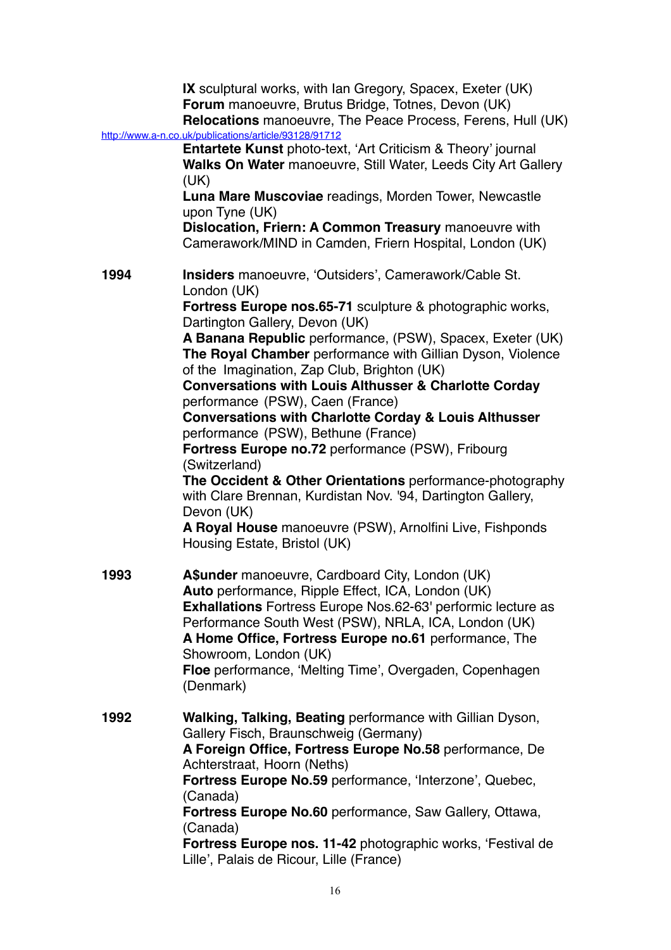|      | <b>IX</b> sculptural works, with Ian Gregory, Spacex, Exeter (UK)<br>Forum manoeuvre, Brutus Bridge, Totnes, Devon (UK)<br>Relocations manoeuvre, The Peace Process, Ferens, Hull (UK)<br>http://www.a-n.co.uk/publications/article/93128/91712 |
|------|-------------------------------------------------------------------------------------------------------------------------------------------------------------------------------------------------------------------------------------------------|
|      | <b>Entartete Kunst</b> photo-text, 'Art Criticism & Theory' journal<br>Walks On Water manoeuvre, Still Water, Leeds City Art Gallery<br>(UK)                                                                                                    |
|      | Luna Mare Muscoviae readings, Morden Tower, Newcastle<br>upon Tyne (UK)                                                                                                                                                                         |
|      | Dislocation, Friern: A Common Treasury manoeuvre with<br>Camerawork/MIND in Camden, Friern Hospital, London (UK)                                                                                                                                |
| 1994 | <b>Insiders</b> manoeuvre, 'Outsiders', Camerawork/Cable St.<br>London (UK)                                                                                                                                                                     |
|      | Fortress Europe nos.65-71 sculpture & photographic works,<br>Dartington Gallery, Devon (UK)                                                                                                                                                     |
|      | A Banana Republic performance, (PSW), Spacex, Exeter (UK)<br>The Royal Chamber performance with Gillian Dyson, Violence<br>of the Imagination, Zap Club, Brighton (UK)                                                                          |
|      | <b>Conversations with Louis Althusser &amp; Charlotte Corday</b><br>performance (PSW), Caen (France)                                                                                                                                            |
|      | <b>Conversations with Charlotte Corday &amp; Louis Althusser</b><br>performance (PSW), Bethune (France)                                                                                                                                         |
|      | Fortress Europe no.72 performance (PSW), Fribourg<br>(Switzerland)                                                                                                                                                                              |
|      | The Occident & Other Orientations performance-photography<br>with Clare Brennan, Kurdistan Nov. '94, Dartington Gallery,<br>Devon (UK)                                                                                                          |
|      | A Royal House manoeuvre (PSW), Arnolfini Live, Fishponds<br>Housing Estate, Bristol (UK)                                                                                                                                                        |
| 1993 | A\$under manoeuvre, Cardboard City, London (UK)                                                                                                                                                                                                 |
|      | Auto performance, Ripple Effect, ICA, London (UK)<br><b>Exhallations</b> Fortress Europe Nos.62-63' performic lecture as                                                                                                                        |
|      | Performance South West (PSW), NRLA, ICA, London (UK)<br>A Home Office, Fortress Europe no.61 performance, The<br>Showroom, London (UK)                                                                                                          |
|      | Floe performance, 'Melting Time', Overgaden, Copenhagen<br>(Denmark)                                                                                                                                                                            |
| 1992 | Walking, Talking, Beating performance with Gillian Dyson,<br>Gallery Fisch, Braunschweig (Germany)                                                                                                                                              |
|      | A Foreign Office, Fortress Europe No.58 performance, De<br>Achterstraat, Hoorn (Neths)                                                                                                                                                          |
|      | Fortress Europe No.59 performance, 'Interzone', Quebec,<br>(Canada)                                                                                                                                                                             |
|      | Fortress Europe No.60 performance, Saw Gallery, Ottawa,<br>(Canada)                                                                                                                                                                             |
|      | Fortress Europe nos. 11-42 photographic works, 'Festival de<br>Lille', Palais de Ricour, Lille (France)                                                                                                                                         |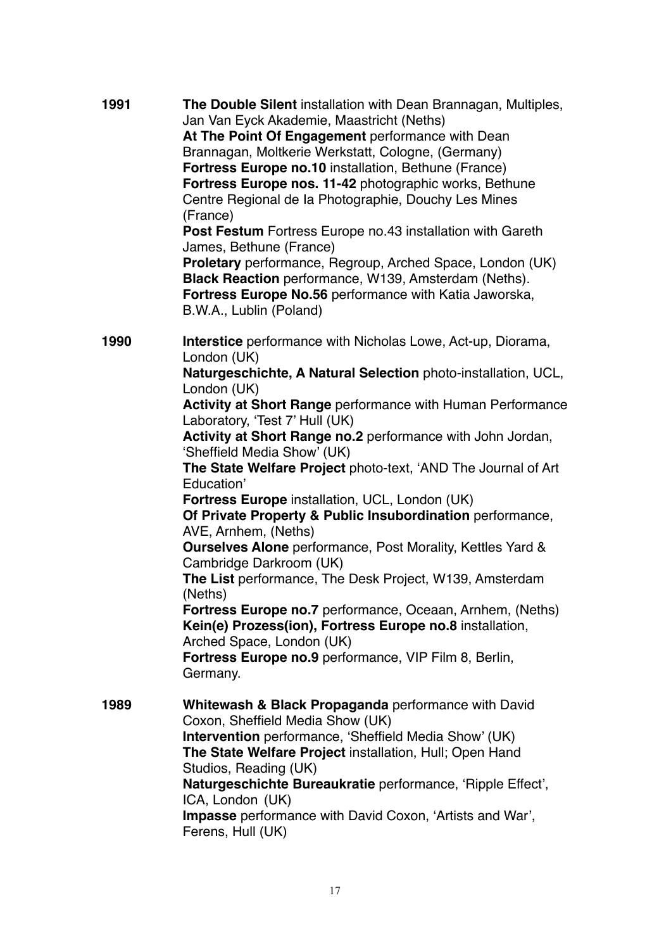| 1991 | The Double Silent installation with Dean Brannagan, Multiples,<br>Jan Van Eyck Akademie, Maastricht (Neths)<br>At The Point Of Engagement performance with Dean<br>Brannagan, Moltkerie Werkstatt, Cologne, (Germany)<br><b>Fortress Europe no.10</b> installation, Bethune (France)<br>Fortress Europe nos. 11-42 photographic works, Bethune<br>Centre Regional de la Photographie, Douchy Les Mines<br>(France)<br>Post Festum Fortress Europe no.43 installation with Gareth<br>James, Bethune (France)<br>Proletary performance, Regroup, Arched Space, London (UK)<br>Black Reaction performance, W139, Amsterdam (Neths).<br>Fortress Europe No.56 performance with Katia Jaworska,<br>B.W.A., Lublin (Poland)                                                                                                                                                                                                                                                                               |
|------|-----------------------------------------------------------------------------------------------------------------------------------------------------------------------------------------------------------------------------------------------------------------------------------------------------------------------------------------------------------------------------------------------------------------------------------------------------------------------------------------------------------------------------------------------------------------------------------------------------------------------------------------------------------------------------------------------------------------------------------------------------------------------------------------------------------------------------------------------------------------------------------------------------------------------------------------------------------------------------------------------------|
| 1990 | <b>Interstice</b> performance with Nicholas Lowe, Act-up, Diorama,<br>London (UK)<br>Naturgeschichte, A Natural Selection photo-installation, UCL,<br>London (UK)<br><b>Activity at Short Range performance with Human Performance</b><br>Laboratory, 'Test 7' Hull (UK)<br>Activity at Short Range no.2 performance with John Jordan,<br>'Sheffield Media Show' (UK)<br>The State Welfare Project photo-text, 'AND The Journal of Art<br>Education'<br>Fortress Europe installation, UCL, London (UK)<br>Of Private Property & Public Insubordination performance,<br>AVE, Arnhem, (Neths)<br><b>Ourselves Alone</b> performance, Post Morality, Kettles Yard &<br>Cambridge Darkroom (UK)<br>The List performance, The Desk Project, W139, Amsterdam<br>(Neths)<br><b>Fortress Europe no.7</b> performance, Oceaan, Arnhem, (Neths)<br>Kein(e) Prozess(ion), Fortress Europe no.8 installation,<br>Arched Space, London (UK)<br>Fortress Europe no.9 performance, VIP Film 8, Berlin,<br>Germany. |
| 1989 | Whitewash & Black Propaganda performance with David<br>Coxon, Sheffield Media Show (UK)<br>Intervention performance, 'Sheffield Media Show' (UK)<br>The State Welfare Project installation, Hull; Open Hand<br>Studios, Reading (UK)<br>Naturgeschichte Bureaukratie performance, 'Ripple Effect',<br>ICA, London (UK)<br><b>Impasse</b> performance with David Coxon, 'Artists and War',<br>Ferens, Hull (UK)                                                                                                                                                                                                                                                                                                                                                                                                                                                                                                                                                                                      |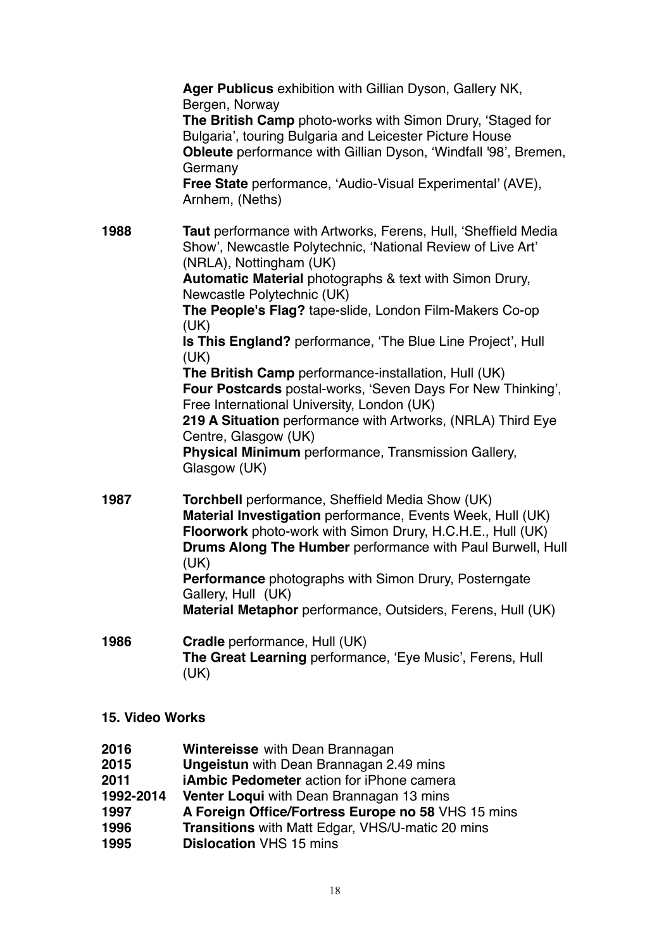|      | Ager Publicus exhibition with Gillian Dyson, Gallery NK,<br>Bergen, Norway<br>The British Camp photo-works with Simon Drury, 'Staged for<br>Bulgaria', touring Bulgaria and Leicester Picture House<br><b>Obleute</b> performance with Gillian Dyson, 'Windfall '98', Bremen,<br>Germany<br>Free State performance, 'Audio-Visual Experimental' (AVE),<br>Arnhem, (Neths)                                                                                                                                                                                                                                                                                                                                                      |
|------|--------------------------------------------------------------------------------------------------------------------------------------------------------------------------------------------------------------------------------------------------------------------------------------------------------------------------------------------------------------------------------------------------------------------------------------------------------------------------------------------------------------------------------------------------------------------------------------------------------------------------------------------------------------------------------------------------------------------------------|
| 1988 | Taut performance with Artworks, Ferens, Hull, 'Sheffield Media<br>Show', Newcastle Polytechnic, 'National Review of Live Art'<br>(NRLA), Nottingham (UK)<br>Automatic Material photographs & text with Simon Drury,<br>Newcastle Polytechnic (UK)<br>The People's Flag? tape-slide, London Film-Makers Co-op<br>(UK)<br>Is This England? performance, 'The Blue Line Project', Hull<br>(UK)<br>The British Camp performance-installation, Hull (UK)<br>Four Postcards postal-works, 'Seven Days For New Thinking',<br>Free International University, London (UK)<br>219 A Situation performance with Artworks, (NRLA) Third Eye<br>Centre, Glasgow (UK)<br>Physical Minimum performance, Transmission Gallery,<br>Glasgow (UK) |
| 1987 | <b>Torchbell</b> performance, Sheffield Media Show (UK)<br>Material Investigation performance, Events Week, Hull (UK)<br>Floorwork photo-work with Simon Drury, H.C.H.E., Hull (UK)<br>Drums Along The Humber performance with Paul Burwell, Hull<br>(UK)<br>Performance photographs with Simon Drury, Posterngate<br>Gallery, Hull (UK)<br>Material Metaphor performance, Outsiders, Ferens, Hull (UK)                                                                                                                                                                                                                                                                                                                        |
| 1986 | Cradle performance, Hull (UK)<br>The Great Learning performance, 'Eye Music', Ferens, Hull<br>(UK)                                                                                                                                                                                                                                                                                                                                                                                                                                                                                                                                                                                                                             |

- **15. Video Works**
- **2016 Wintereisse** with Dean Brannagan
- **2015 Ungeistun** with Dean Brannagan 2.49 mins
- **2011 iAmbic Pedometer** action for iPhone camera
- **1992-2014 Venter Loqui** with Dean Brannagan 13 mins
- **1997 A Foreign Office/Fortress Europe no 58** VHS 15 mins
- **1996 Transitions** with Matt Edgar, VHS/U-matic 20 mins
- **1995 Dislocation** VHS 15 mins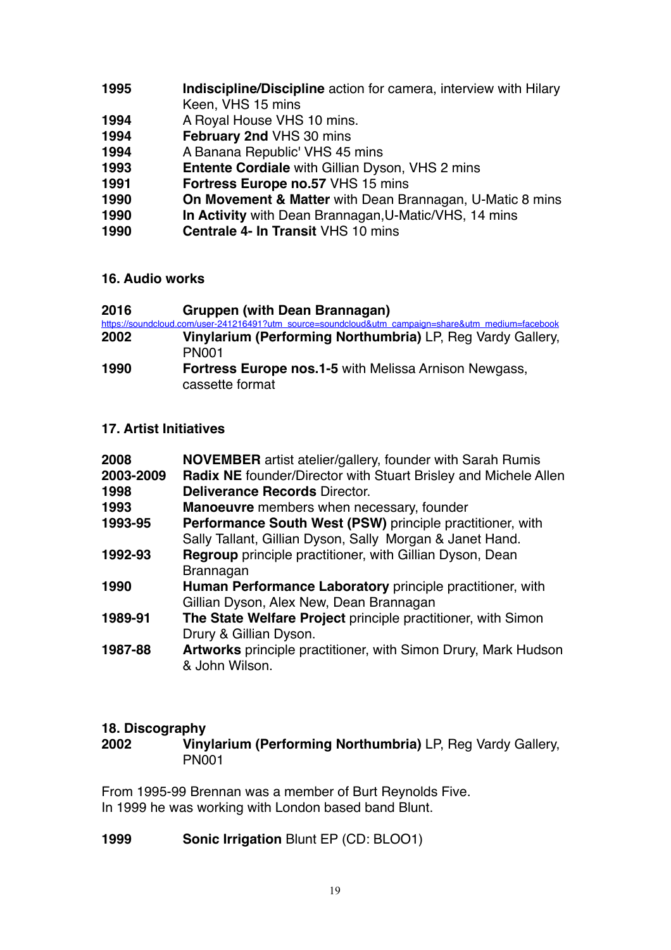- **1995 Indiscipline/Discipline** action for camera, interview with Hilary Keen, VHS 15 mins
- **1994** A Royal House VHS 10 mins.
- **1994 February 2nd** VHS 30 mins
- **1994** A Banana Republic' VHS 45 mins<br>**1993 Entente Cordiale** with Gillian Dys
- **Entente Cordiale** with Gillian Dyson, VHS 2 mins
- **1991 Fortress Europe no.57 VHS 15 mins<br><b>1990 On Movement & Matter with Dean Brand**
- **On Movement & Matter** with Dean Brannagan, U-Matic 8 mins
- **1990 In Activity** with Dean Brannagan,U-Matic/VHS, 14 mins
- **1990 Centrale 4- In Transit** VHS 10 mins

### **16. Audio works**

| 2016 | <b>Gruppen (with Dean Brannagan)</b>                                                               |
|------|----------------------------------------------------------------------------------------------------|
|      | https://soundcloud.com/user-241216491?utm_source=soundcloud&utm_campaign=share&utm_medium=facebook |
| 2002 | Vinylarium (Performing Northumbria) LP, Reg Vardy Gallery,                                         |
|      | <b>PN001</b>                                                                                       |
| 1990 | <b>Fortress Europe nos.1-5 with Melissa Arnison Newgass,</b><br>cassette format                    |

## **17. Artist Initiatives**

| 2008<br>2003-2009<br>1998<br>1993<br>1993-95 | <b>NOVEMBER</b> artist atelier/gallery, founder with Sarah Rumis<br><b>Radix NE</b> founder/Director with Stuart Brisley and Michele Allen<br><b>Deliverance Records Director.</b><br>Manoeuvre members when necessary, founder<br>Performance South West (PSW) principle practitioner, with |
|----------------------------------------------|----------------------------------------------------------------------------------------------------------------------------------------------------------------------------------------------------------------------------------------------------------------------------------------------|
|                                              | Sally Tallant, Gillian Dyson, Sally Morgan & Janet Hand.                                                                                                                                                                                                                                     |
| 1992-93                                      | <b>Regroup</b> principle practitioner, with Gillian Dyson, Dean                                                                                                                                                                                                                              |
|                                              | <b>Brannagan</b>                                                                                                                                                                                                                                                                             |
| 1990                                         | Human Performance Laboratory principle practitioner, with                                                                                                                                                                                                                                    |
|                                              | Gillian Dyson, Alex New, Dean Brannagan                                                                                                                                                                                                                                                      |
| 1989-91                                      | The State Welfare Project principle practitioner, with Simon                                                                                                                                                                                                                                 |
|                                              | Drury & Gillian Dyson.                                                                                                                                                                                                                                                                       |
| 1987-88                                      | <b>Artworks</b> principle practitioner, with Simon Drury, Mark Hudson<br>& John Wilson.                                                                                                                                                                                                      |

### **18. Discography**

**2002 Vinylarium (Performing Northumbria)** LP, Reg Vardy Gallery, PN001

From 1995-99 Brennan was a member of Burt Reynolds Five. In 1999 he was working with London based band Blunt.

**1999 Sonic Irrigation** Blunt EP (CD: BLOO1)